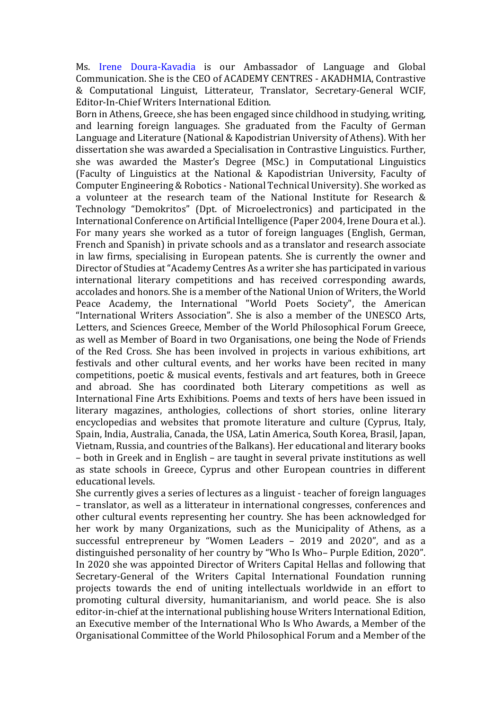Ms. Irene Doura-Kavadia is our Ambassador of Language and Global Communication. She is the CEO of ACADEMY CENTRES - AKADHMIA, Contrastive & Computational Linguist, Litterateur, Translator, Secretary-General WCIF, Editor-In-Chief Writers International Edition.

Born in Athens, Greece, she has been engaged since childhood in studying, writing, and learning foreign languages. She graduated from the Faculty of German Language and Literature (National & Kapodistrian University of Athens). With her dissertation she was awarded a Specialisation in Contrastive Linguistics. Further, she was awarded the Master's Degree (MSc.) in Computational Linguistics (Faculty of Linguistics at the National & Kapodistrian University, Faculty of Computer Engineering & Robotics - National Technical University). She worked as a volunteer at the research team of the National Institute for Research & Technology "Demokritos" (Dpt. of Microelectronics) and participated in the International Conference on Artificial Intelligence (Paper 2004, Irene Doura et al.). For many years she worked as a tutor of foreign languages (English, German, French and Spanish) in private schools and as a translator and research associate in law firms, specialising in European patents. She is currently the owner and Director of Studies at "Academy Centres As a writer she has participated in various international literary competitions and has received corresponding awards, accolades and honors. She is a member of the National Union of Writers, the World Peace Academy, the International "World Poets Society", the American "International Writers Association". She is also a member of the UNESCO Arts, Letters, and Sciences Greece, Member of the World Philosophical Forum Greece, as well as Member of Board in two Organisations, one being the Node of Friends of the Red Cross. She has been involved in projects in various exhibitions, art festivals and other cultural events, and her works have been recited in many competitions, poetic & musical events, festivals and art features, both in Greece and abroad. She has coordinated both Literary competitions as well as International Fine Arts Exhibitions. Poems and texts of hers have been issued in literary magazines, anthologies, collections of short stories, online literary encyclopedias and websites that promote literature and culture (Cyprus, Italy, Spain, India, Australia, Canada, the USA, Latin America, South Korea, Brasil, Japan, Vietnam, Russia, and countries of the Balkans). Her educational and literary books – both in Greek and in English – are taught in several private institutions as well as state schools in Greece, Cyprus and other European countries in different educational levels.

She currently gives a series of lectures as a linguist - teacher of foreign languages – translator, as well as a litterateur in international congresses, conferences and other cultural events representing her country. She has been acknowledged for her work by many Organizations, such as the Municipality of Athens, as a successful entrepreneur by "Women Leaders – 2019 and 2020", and as a distinguished personality of her country by "Who Is Who– Purple Edition, 2020". In 2020 she was appointed Director of Writers Capital Hellas and following that Secretary-General of the Writers Capital International Foundation running projects towards the end of uniting intellectuals worldwide in an effort to promoting cultural diversity, humanitarianism, and world peace. She is also editor-in-chief at the international publishing house Writers International Edition, an Executive member of the International Who Is Who Awards, a Member of the Organisational Committee of the World Philosophical Forum and a Member of the